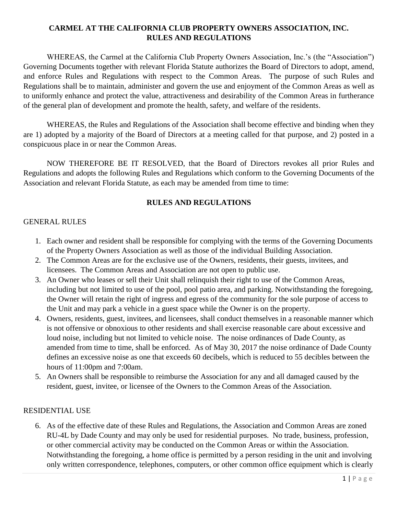# **CARMEL AT THE CALIFORNIA CLUB PROPERTY OWNERS ASSOCIATION, INC. RULES AND REGULATIONS**

WHEREAS, the Carmel at the California Club Property Owners Association, Inc.'s (the "Association") Governing Documents together with relevant Florida Statute authorizes the Board of Directors to adopt, amend, and enforce Rules and Regulations with respect to the Common Areas. The purpose of such Rules and Regulations shall be to maintain, administer and govern the use and enjoyment of the Common Areas as well as to uniformly enhance and protect the value, attractiveness and desirability of the Common Areas in furtherance of the general plan of development and promote the health, safety, and welfare of the residents.

WHEREAS, the Rules and Regulations of the Association shall become effective and binding when they are 1) adopted by a majority of the Board of Directors at a meeting called for that purpose, and 2) posted in a conspicuous place in or near the Common Areas.

NOW THEREFORE BE IT RESOLVED, that the Board of Directors revokes all prior Rules and Regulations and adopts the following Rules and Regulations which conform to the Governing Documents of the Association and relevant Florida Statute, as each may be amended from time to time:

### **RULES AND REGULATIONS**

#### GENERAL RULES

- 1. Each owner and resident shall be responsible for complying with the terms of the Governing Documents of the Property Owners Association as well as those of the individual Building Association.
- 2. The Common Areas are for the exclusive use of the Owners, residents, their guests, invitees, and licensees. The Common Areas and Association are not open to public use.
- 3. An Owner who leases or sell their Unit shall relinquish their right to use of the Common Areas, including but not limited to use of the pool, pool patio area, and parking. Notwithstanding the foregoing, the Owner will retain the right of ingress and egress of the community for the sole purpose of access to the Unit and may park a vehicle in a guest space while the Owner is on the property.
- 4. Owners, residents, guest, invitees, and licensees, shall conduct themselves in a reasonable manner which is not offensive or obnoxious to other residents and shall exercise reasonable care about excessive and loud noise, including but not limited to vehicle noise. The noise ordinances of Dade County, as amended from time to time, shall be enforced. As of May 30, 2017 the noise ordinance of Dade County defines an excessive noise as one that exceeds 60 decibels, which is reduced to 55 decibles between the hours of 11:00pm and 7:00am.
- 5. An Owners shall be responsible to reimburse the Association for any and all damaged caused by the resident, guest, invitee, or licensee of the Owners to the Common Areas of the Association.

#### RESIDENTIAL USE

6. As of the effective date of these Rules and Regulations, the Association and Common Areas are zoned RU-4L by Dade County and may only be used for residential purposes. No trade, business, profession, or other commercial activity may be conducted on the Common Areas or within the Association. Notwithstanding the foregoing, a home office is permitted by a person residing in the unit and involving only written correspondence, telephones, computers, or other common office equipment which is clearly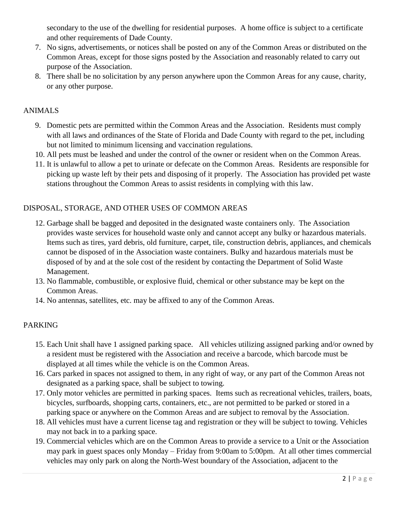secondary to the use of the dwelling for residential purposes. A home office is subject to a certificate and other requirements of Dade County.

- 7. No signs, advertisements, or notices shall be posted on any of the Common Areas or distributed on the Common Areas, except for those signs posted by the Association and reasonably related to carry out purpose of the Association.
- 8. There shall be no solicitation by any person anywhere upon the Common Areas for any cause, charity, or any other purpose.

## ANIMALS

- 9. Domestic pets are permitted within the Common Areas and the Association. Residents must comply with all laws and ordinances of the State of Florida and Dade County with regard to the pet, including but not limited to minimum licensing and vaccination regulations.
- 10. All pets must be leashed and under the control of the owner or resident when on the Common Areas.
- 11. It is unlawful to allow a pet to urinate or defecate on the Common Areas. Residents are responsible for picking up waste left by their pets and disposing of it properly. The Association has provided pet waste stations throughout the Common Areas to assist residents in complying with this law.

# DISPOSAL, STORAGE, AND OTHER USES OF COMMON AREAS

- 12. Garbage shall be bagged and deposited in the designated waste containers only. The Association provides waste services for household waste only and cannot accept any bulky or hazardous materials. Items such as tires, yard debris, old furniture, carpet, tile, construction debris, appliances, and chemicals cannot be disposed of in the Association waste containers. Bulky and hazardous materials must be disposed of by and at the sole cost of the resident by contacting the Department of Solid Waste Management.
- 13. No flammable, combustible, or explosive fluid, chemical or other substance may be kept on the Common Areas.
- 14. No antennas, satellites, etc. may be affixed to any of the Common Areas.

### PARKING

- 15. Each Unit shall have 1 assigned parking space. All vehicles utilizing assigned parking and/or owned by a resident must be registered with the Association and receive a barcode, which barcode must be displayed at all times while the vehicle is on the Common Areas.
- 16. Cars parked in spaces not assigned to them, in any right of way, or any part of the Common Areas not designated as a parking space, shall be subject to towing.
- 17. Only motor vehicles are permitted in parking spaces. Items such as recreational vehicles, trailers, boats, bicycles, surfboards, shopping carts, containers, etc., are not permitted to be parked or stored in a parking space or anywhere on the Common Areas and are subject to removal by the Association.
- 18. All vehicles must have a current license tag and registration or they will be subject to towing. Vehicles may not back in to a parking space.
- 19. Commercial vehicles which are on the Common Areas to provide a service to a Unit or the Association may park in guest spaces only Monday – Friday from 9:00am to 5:00pm. At all other times commercial vehicles may only park on along the North-West boundary of the Association, adjacent to the